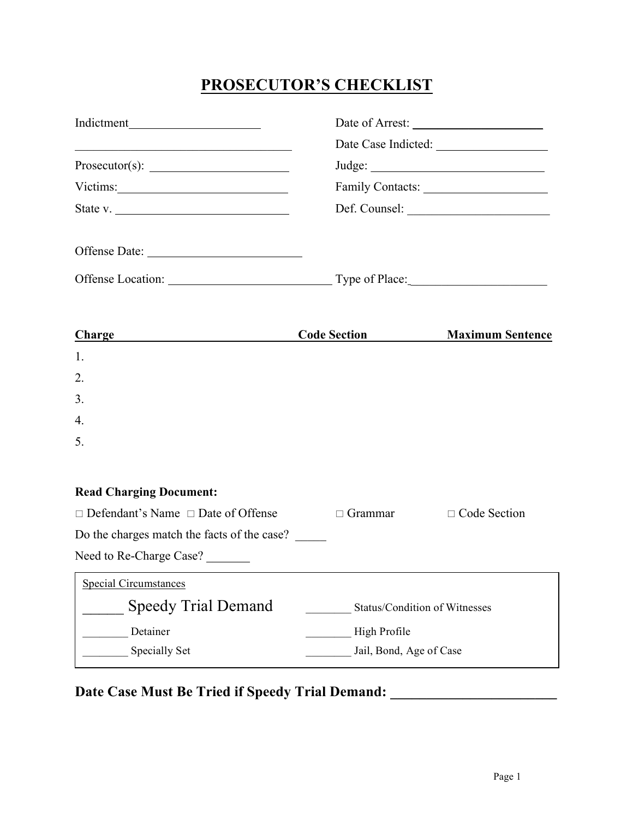# **PROSECUTOR'S CHECKLIST**

| <u> 2008 - Jan Barbarat, margaret amerikan basar dan basa dan basa dalam personal dan basa dan basa dan basa dan</u>                                                                                                           |                                              |                         |
|--------------------------------------------------------------------------------------------------------------------------------------------------------------------------------------------------------------------------------|----------------------------------------------|-------------------------|
|                                                                                                                                                                                                                                |                                              |                         |
| Victims: University of the University of the University of the University of the University of the University of the University of the University of the University of the University of the University of the University of t |                                              |                         |
| State v. $\frac{1}{1}$                                                                                                                                                                                                         |                                              |                         |
| Offense Date:                                                                                                                                                                                                                  |                                              |                         |
|                                                                                                                                                                                                                                |                                              |                         |
| Charge<br><u> 1980 - Johann Barbara, martin a</u>                                                                                                                                                                              | <b>Code Section</b>                          | <b>Maximum Sentence</b> |
| 1.                                                                                                                                                                                                                             |                                              |                         |
| 2.                                                                                                                                                                                                                             |                                              |                         |
| 3.                                                                                                                                                                                                                             |                                              |                         |
| 4.                                                                                                                                                                                                                             |                                              |                         |
| 5.                                                                                                                                                                                                                             |                                              |                         |
| <b>Read Charging Document:</b>                                                                                                                                                                                                 |                                              |                         |
| $\Box$ Defendant's Name $\Box$ Date of Offense                                                                                                                                                                                 | $\Box$ Grammar                               | $\Box$ Code Section     |
| Do the charges match the facts of the case?                                                                                                                                                                                    |                                              |                         |
| Need to Re-Charge Case?                                                                                                                                                                                                        | <u> 1989 - Jan Salaman Salaman (j. 1989)</u> |                         |
| <b>Special Circumstances</b>                                                                                                                                                                                                   |                                              |                         |
| <b>Speedy Trial Demand</b>                                                                                                                                                                                                     | Status/Condition of Witnesses                |                         |
| Detainer                                                                                                                                                                                                                       | High Profile                                 |                         |
| Specially Set                                                                                                                                                                                                                  | Jail, Bond, Age of Case                      |                         |

Date Case Must Be Tried if Speedy Trial Demand: \_\_\_\_\_\_\_\_\_\_\_\_\_\_\_\_\_\_\_\_\_\_\_\_\_\_\_\_\_\_\_\_\_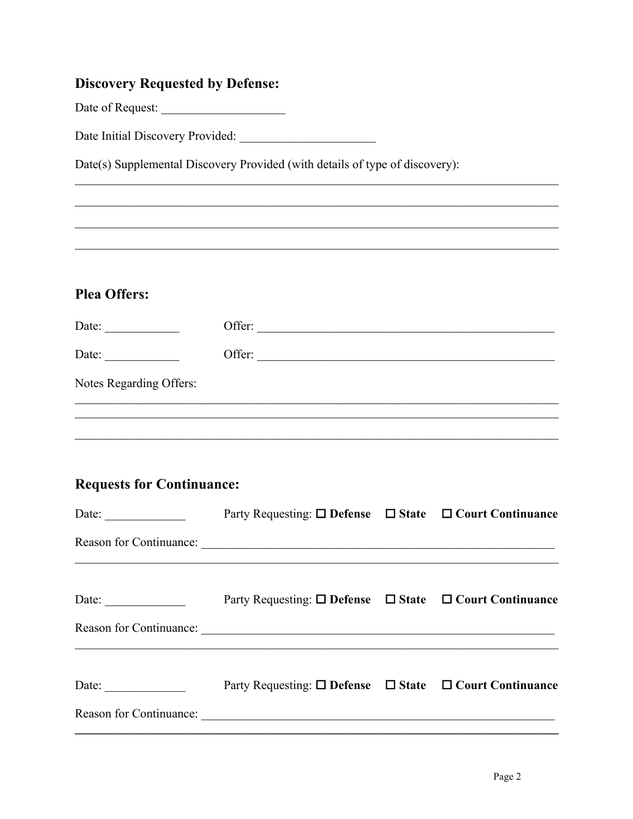## **Discovery Requested by Defense:**

Date of Request:

Date Initial Discovery Provided:

Date(s) Supplemental Discovery Provided (with details of type of discovery):

# **Plea Offers:**

| Date:                   | Offer: |
|-------------------------|--------|
| Date:                   | Offer: |
| Notes Regarding Offers: |        |
|                         |        |

## **Requests for Continuance:**

| Date: $\qquad \qquad$                                    | Party Requesting: $\square$ Defense $\square$ State $\square$ Court Continuance                                                                            |  |
|----------------------------------------------------------|------------------------------------------------------------------------------------------------------------------------------------------------------------|--|
|                                                          |                                                                                                                                                            |  |
| Date: $\frac{1}{\sqrt{1-\frac{1}{2}} \cdot \frac{1}{2}}$ | Party Requesting: $\square$ Defense $\square$ State $\square$ Court Continuance<br>Reason for Continuance:                                                 |  |
| Date:                                                    | <u>,这就是这个人的人,我们就是这个人的人,我们就是这个人的人,我们就是这个人的人,我们就是这个人的人,我们就是这个人的人,我们就是</u><br>Party Requesting: $\square$ Defense $\square$ State $\square$ Court Continuance |  |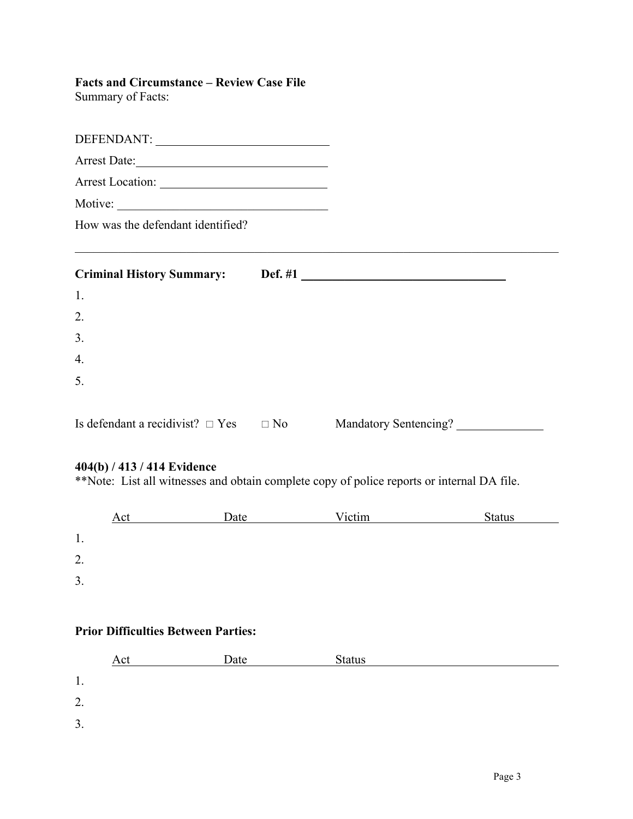# **Facts and Circumstance – Review Case File**

Summary of Facts:

| Arrest Location:                                |                       |  |
|-------------------------------------------------|-----------------------|--|
| Motive:                                         |                       |  |
| How was the defendant identified?               |                       |  |
|                                                 |                       |  |
| 1.                                              |                       |  |
| 2.                                              |                       |  |
| 3.                                              |                       |  |
| $\overline{4}$ .                                |                       |  |
| 5.                                              |                       |  |
| Is defendant a recidivist? $\Box$ Yes $\Box$ No | Mandatory Sentencing? |  |
| $A04/b$ $A12/414$ Fridance                      |                       |  |

#### **404(b) / 413 / 414 Evidence**

\*\*Note: List all witnesses and obtain complete copy of police reports or internal DA file.

|    | Act | Date | Victim | <b>Status</b> |  |
|----|-----|------|--------|---------------|--|
| ., |     |      |        |               |  |
| 2. |     |      |        |               |  |
| 3. |     |      |        |               |  |

### **Prior Difficulties Between Parties:**

|    | Act | Date | <b>Status</b> |
|----|-----|------|---------------|
| 1. |     |      |               |
| 2. |     |      |               |
| 3. |     |      |               |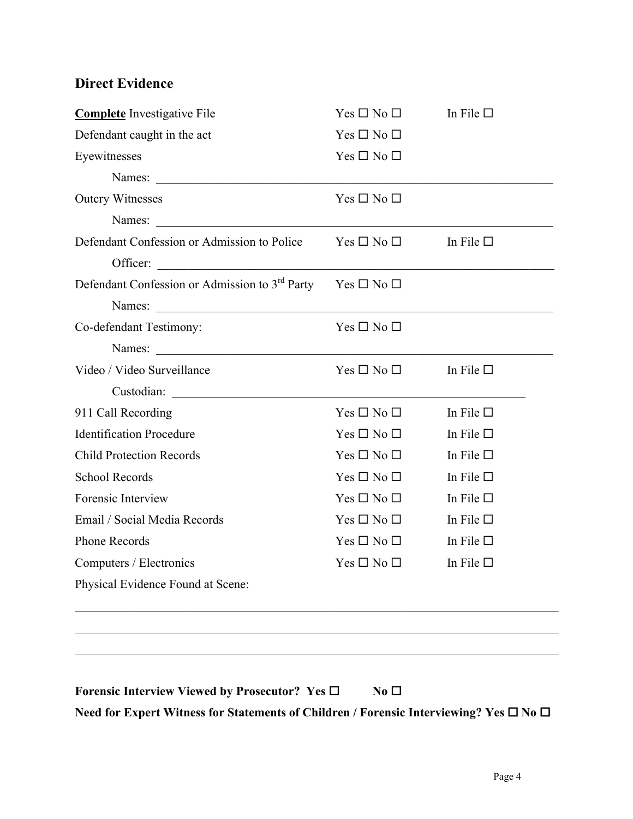# **Direct Evidence**

| <b>Complete</b> Investigative File                                              | $Yes \Box No \Box$                | In File $\square$ |
|---------------------------------------------------------------------------------|-----------------------------------|-------------------|
| Defendant caught in the act                                                     | $Yes \Box No \Box$                |                   |
| Eyewitnesses                                                                    | $Yes \Box No \Box$                |                   |
| Names:                                                                          |                                   |                   |
| <b>Outcry Witnesses</b>                                                         | $Yes \Box No \Box$                |                   |
|                                                                                 |                                   |                   |
| Defendant Confession or Admission to Police $Yes \Box No \Box$ In File $\Box$   |                                   |                   |
| <u> 1988 - Johann Barnett, fransk politiker (d. 1988)</u><br>Officer:           |                                   |                   |
| Defendant Confession or Admission to 3 <sup>rd</sup> Party Yes $\Box$ No $\Box$ |                                   |                   |
|                                                                                 |                                   |                   |
| Co-defendant Testimony:                                                         | $Yes \Box No \Box$                |                   |
|                                                                                 |                                   |                   |
| Video / Video Surveillance                                                      | $Yes \Box No \Box$ In File $\Box$ |                   |
|                                                                                 |                                   |                   |
| 911 Call Recording                                                              | $Yes \Box No \Box$                | In File $\square$ |
| <b>Identification Procedure</b>                                                 | $Yes \Box No \Box$                | In File $\square$ |
| <b>Child Protection Records</b>                                                 | $Yes \Box No \Box$                | In File $\square$ |
| <b>School Records</b>                                                           | $Yes \Box No \Box$                | In File $\square$ |
| Forensic Interview                                                              | $Yes \Box No \Box$                | In File $\square$ |
| Email / Social Media Records                                                    | $Yes \Box No \Box$                | In File $\square$ |
| <b>Phone Records</b>                                                            | $Yes \Box No \Box$                | In File $\square$ |
| Computers / Electronics                                                         | $Yes \Box No \Box$                | In File $\square$ |
| Physical Evidence Found at Scene:                                               |                                   |                   |
|                                                                                 |                                   |                   |
|                                                                                 |                                   |                   |
|                                                                                 |                                   |                   |

**Forensic Interview Viewed by Prosecutor?** Yes □ **No** □ **Need for Expert Witness for Statements of Children / Forensic Interviewing? Yes □ No □**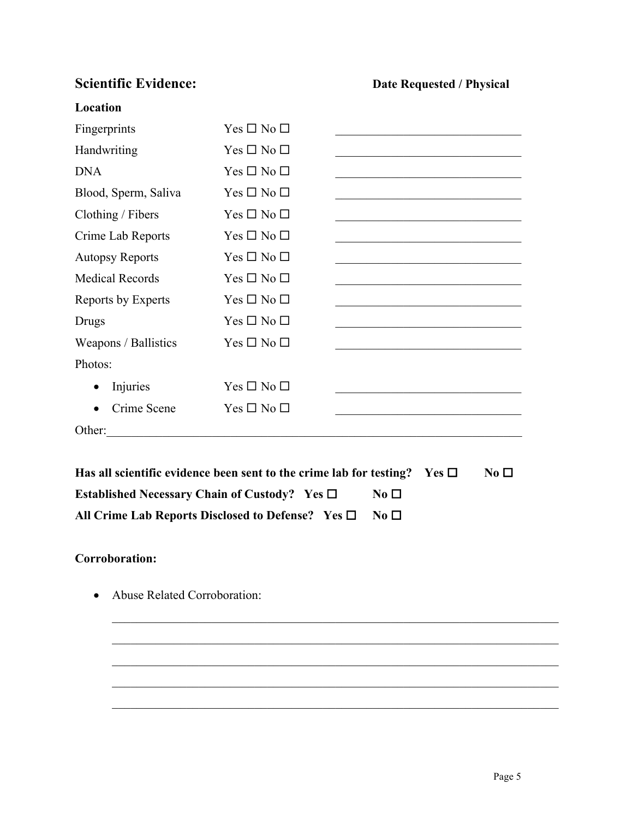# **Scientific Evidence: Date Requested / Physical** *Date Requested / Physical*

#### **Location**

| Fingerprints                                                                                         | $Yes \Box No \Box$ |                                                                                                                       |  |
|------------------------------------------------------------------------------------------------------|--------------------|-----------------------------------------------------------------------------------------------------------------------|--|
| Handwriting                                                                                          | $Yes \Box No \Box$ |                                                                                                                       |  |
| <b>DNA</b>                                                                                           | $Yes \Box No \Box$ |                                                                                                                       |  |
| Blood, Sperm, Saliva                                                                                 | $Yes \Box No \Box$ |                                                                                                                       |  |
| Clothing / Fibers                                                                                    | $Yes \Box No \Box$ |                                                                                                                       |  |
| Crime Lab Reports                                                                                    | $Yes \Box No \Box$ |                                                                                                                       |  |
| <b>Autopsy Reports</b>                                                                               | $Yes \Box No \Box$ |                                                                                                                       |  |
| <b>Medical Records</b>                                                                               | $Yes \Box No \Box$ |                                                                                                                       |  |
| Reports by Experts                                                                                   | $Yes \Box No \Box$ | the control of the control of the control of the control of the control of the control of the                         |  |
| Drugs                                                                                                | $Yes \Box No \Box$ | <u> 1989 - Johann Barbara, martin amerikan basar dan bagian dalam basar dalam basar dalam basar dalam basar dalam</u> |  |
| Weapons / Ballistics                                                                                 | $Yes \Box No \Box$ |                                                                                                                       |  |
| Photos:                                                                                              |                    |                                                                                                                       |  |
| Injuries<br>$\bullet$                                                                                | $Yes \Box No \Box$ |                                                                                                                       |  |
| Crime Scene<br>$\bullet$                                                                             | $Yes \Box No \Box$ |                                                                                                                       |  |
| Other:                                                                                               |                    |                                                                                                                       |  |
|                                                                                                      |                    |                                                                                                                       |  |
| Has all scientific evidence been sent to the crime lab for testing?<br>No <sub>D</sub><br>Yes $\Box$ |                    |                                                                                                                       |  |
| Established Necessary Chain of Custody? Yes $\Box$                                                   |                    | $\bf No \mathrel{\square}$                                                                                            |  |

 $\mathcal{L}_\text{max}$  , and the contribution of the contribution of the contribution of the contribution of the contribution of the contribution of the contribution of the contribution of the contribution of the contribution of t

 $\mathcal{L}_\text{max} = \mathcal{L}_\text{max} = \mathcal{L}_\text{max} = \mathcal{L}_\text{max} = \mathcal{L}_\text{max} = \mathcal{L}_\text{max} = \mathcal{L}_\text{max} = \mathcal{L}_\text{max} = \mathcal{L}_\text{max} = \mathcal{L}_\text{max} = \mathcal{L}_\text{max} = \mathcal{L}_\text{max} = \mathcal{L}_\text{max} = \mathcal{L}_\text{max} = \mathcal{L}_\text{max} = \mathcal{L}_\text{max} = \mathcal{L}_\text{max} = \mathcal{L}_\text{max} = \mathcal{$ 

 $\mathcal{L}_\text{max} = \mathcal{L}_\text{max} = \mathcal{L}_\text{max} = \mathcal{L}_\text{max} = \mathcal{L}_\text{max} = \mathcal{L}_\text{max} = \mathcal{L}_\text{max} = \mathcal{L}_\text{max} = \mathcal{L}_\text{max} = \mathcal{L}_\text{max} = \mathcal{L}_\text{max} = \mathcal{L}_\text{max} = \mathcal{L}_\text{max} = \mathcal{L}_\text{max} = \mathcal{L}_\text{max} = \mathcal{L}_\text{max} = \mathcal{L}_\text{max} = \mathcal{L}_\text{max} = \mathcal{$ 

 $\mathcal{L}_\text{max}$  , and the contribution of the contribution of the contribution of the contribution of the contribution of the contribution of the contribution of the contribution of the contribution of the contribution of t

 $\mathcal{L}_\text{max}$  , and the contribution of the contribution of the contribution of the contribution of the contribution of the contribution of the contribution of the contribution of the contribution of the contribution of t

| All Crime Lab Reports Disclosed to Defense? Yes $\square$ No $\square$ |  |
|------------------------------------------------------------------------|--|

### **Corroboration:**

• Abuse Related Corroboration: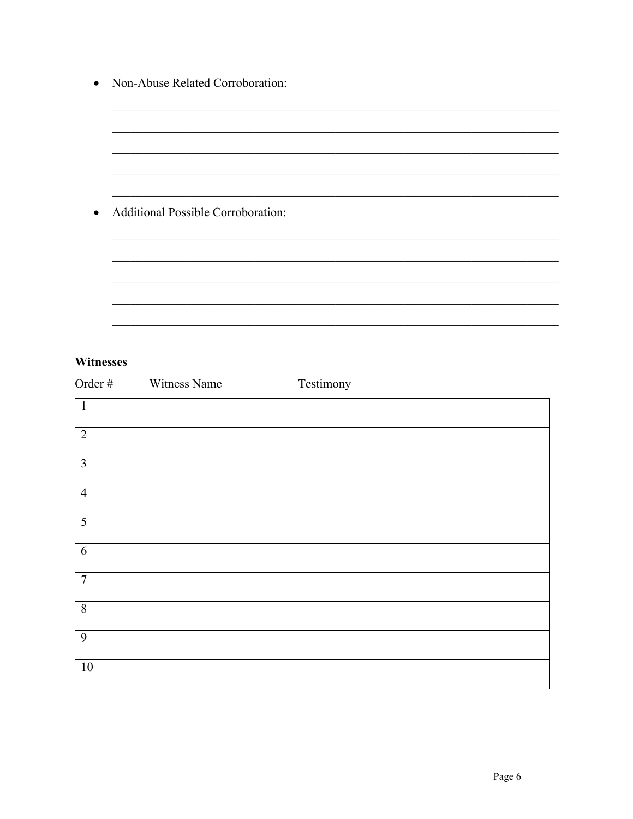| • Non-Abuse Related Corroboration:   |  |
|--------------------------------------|--|
|                                      |  |
|                                      |  |
|                                      |  |
|                                      |  |
| • Additional Possible Corroboration: |  |
|                                      |  |
|                                      |  |
|                                      |  |

### Witnesses

| Order #                 | Witness Name | Testimony |
|-------------------------|--------------|-----------|
| $\mathbf{1}$            |              |           |
| $\overline{2}$          |              |           |
| $\overline{\mathbf{3}}$ |              |           |
| $\overline{4}$          |              |           |
| $\overline{5}$          |              |           |
| $6\,$                   |              |           |
| $\overline{7}$          |              |           |
| $\overline{8}$          |              |           |
| $\overline{9}$          |              |           |
| $10\,$                  |              |           |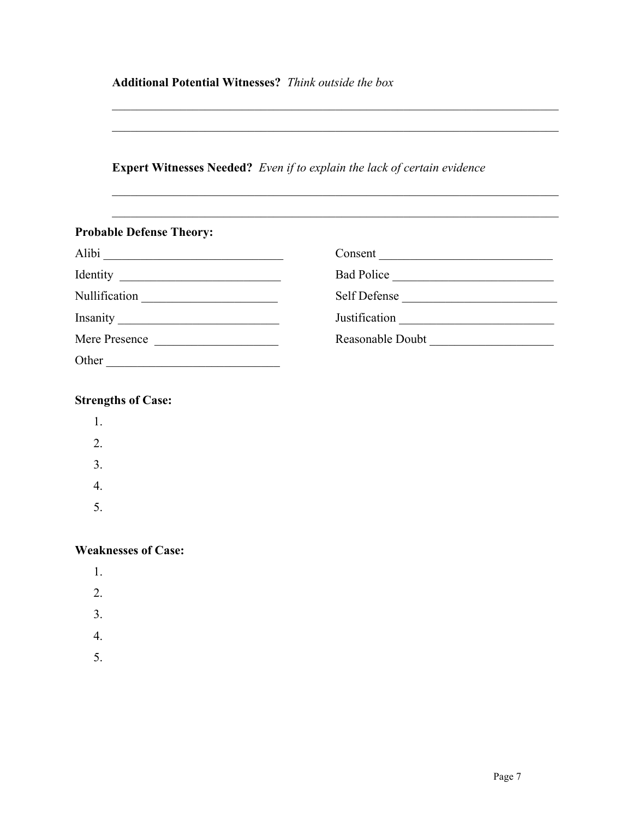## **Additional Potential Witnesses?** *Think outside the box*

## **Expert Witnesses Needed?** *Even if to explain the lack of certain evidence*

 $\mathcal{L}_\text{max}$  , and the contribution of the contribution of the contribution of the contribution of the contribution of the contribution of the contribution of the contribution of the contribution of the contribution of t

 $\mathcal{L}_\text{max}$  , and the contribution of the contribution of the contribution of the contribution of the contribution of the contribution of the contribution of the contribution of the contribution of the contribution of t

 $\mathcal{L}_\text{max} = \mathcal{L}_\text{max} = \mathcal{L}_\text{max} = \mathcal{L}_\text{max} = \mathcal{L}_\text{max} = \mathcal{L}_\text{max} = \mathcal{L}_\text{max} = \mathcal{L}_\text{max} = \mathcal{L}_\text{max} = \mathcal{L}_\text{max} = \mathcal{L}_\text{max} = \mathcal{L}_\text{max} = \mathcal{L}_\text{max} = \mathcal{L}_\text{max} = \mathcal{L}_\text{max} = \mathcal{L}_\text{max} = \mathcal{L}_\text{max} = \mathcal{L}_\text{max} = \mathcal{$ 

 $\mathcal{L}_\text{max} = \mathcal{L}_\text{max} = \mathcal{L}_\text{max} = \mathcal{L}_\text{max} = \mathcal{L}_\text{max} = \mathcal{L}_\text{max} = \mathcal{L}_\text{max} = \mathcal{L}_\text{max} = \mathcal{L}_\text{max} = \mathcal{L}_\text{max} = \mathcal{L}_\text{max} = \mathcal{L}_\text{max} = \mathcal{L}_\text{max} = \mathcal{L}_\text{max} = \mathcal{L}_\text{max} = \mathcal{L}_\text{max} = \mathcal{L}_\text{max} = \mathcal{L}_\text{max} = \mathcal{$ 

| <b>Probable Defense Theory:</b> |                  |
|---------------------------------|------------------|
| Alibi                           |                  |
|                                 | Bad Police       |
| Nullification                   | Self Defense     |
|                                 | Justification    |
| Mere Presence                   | Reasonable Doubt |
| Other                           |                  |

## **Strengths of Case:**

| 1. |  |  |
|----|--|--|
|    |  |  |

- 2.
- 3.
- 4.
- 5.

### **Weaknesses of Case:**

- 1.
- 2.
- 3.
- 
- 4.
- 5.